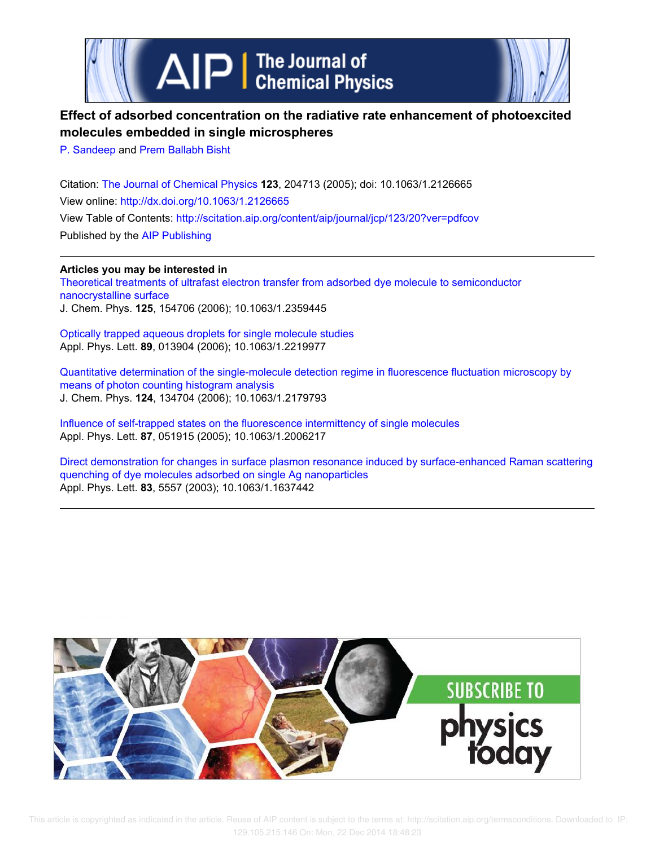



# **Effect of adsorbed concentration on the radiative rate enhancement of photoexcited molecules embedded in single microspheres**

P. Sandeep and Prem Ballabh Bisht

Citation: The Journal of Chemical Physics **123**, 204713 (2005); doi: 10.1063/1.2126665 View online: http://dx.doi.org/10.1063/1.2126665 View Table of Contents: http://scitation.aip.org/content/aip/journal/jcp/123/20?ver=pdfcov Published by the AIP Publishing

**Articles you may be interested in** Theoretical treatments of ultrafast electron transfer from adsorbed dye molecule to semiconductor nanocrystalline surface J. Chem. Phys. **125**, 154706 (2006); 10.1063/1.2359445

Optically trapped aqueous droplets for single molecule studies Appl. Phys. Lett. **89**, 013904 (2006); 10.1063/1.2219977

Quantitative determination of the single-molecule detection regime in fluorescence fluctuation microscopy by means of photon counting histogram analysis J. Chem. Phys. **124**, 134704 (2006); 10.1063/1.2179793

Influence of self-trapped states on the fluorescence intermittency of single molecules Appl. Phys. Lett. **87**, 051915 (2005); 10.1063/1.2006217

Direct demonstration for changes in surface plasmon resonance induced by surface-enhanced Raman scattering quenching of dye molecules adsorbed on single Ag nanoparticles Appl. Phys. Lett. **83**, 5557 (2003); 10.1063/1.1637442

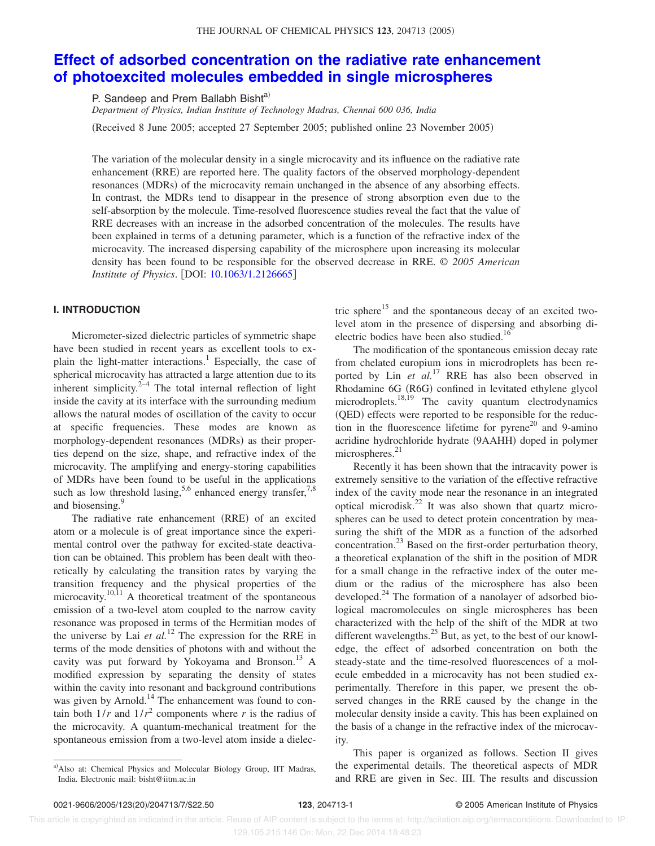# THE JOURNAL OF CHEMICAL PHYSICS 123, 204713 (2005)

# **Effect of adsorbed concentration on the radiative rate enhancement of photoexcited molecules embedded in single microspheres**

P. Sandeep and Prem Ballabh Bisht<sup>a)</sup>

*Department of Physics, Indian Institute of Technology Madras, Chennai 600 036, India*

(Received 8 June 2005; accepted 27 September 2005; published online 23 November 2005)

The variation of the molecular density in a single microcavity and its influence on the radiative rate enhancement (RRE) are reported here. The quality factors of the observed morphology-dependent resonances (MDRs) of the microcavity remain unchanged in the absence of any absorbing effects. In contrast, the MDRs tend to disappear in the presence of strong absorption even due to the self-absorption by the molecule. Time-resolved fluorescence studies reveal the fact that the value of RRE decreases with an increase in the adsorbed concentration of the molecules. The results have been explained in terms of a detuning parameter, which is a function of the refractive index of the microcavity. The increased dispersing capability of the microsphere upon increasing its molecular density has been found to be responsible for the observed decrease in RRE. © *2005 American Institute of Physics.* [DOI: 10.1063/1.2126665]

## **I. INTRODUCTION**

Micrometer-sized dielectric particles of symmetric shape have been studied in recent years as excellent tools to explain the light-matter interactions.<sup>1</sup> Especially, the case of spherical microcavity has attracted a large attention due to its inherent simplicity. $2<sup>2-4</sup>$  The total internal reflection of light inside the cavity at its interface with the surrounding medium allows the natural modes of oscillation of the cavity to occur at specific frequencies. These modes are known as morphology-dependent resonances (MDRs) as their properties depend on the size, shape, and refractive index of the microcavity. The amplifying and energy-storing capabilities of MDRs have been found to be useful in the applications such as low threshold lasing,<sup>5,6</sup> enhanced energy transfer,<sup>7,8</sup> and biosensing.<sup>9</sup>

The radiative rate enhancement (RRE) of an excited atom or a molecule is of great importance since the experimental control over the pathway for excited-state deactivation can be obtained. This problem has been dealt with theoretically by calculating the transition rates by varying the transition frequency and the physical properties of the microcavity.<sup>10,11</sup> A theoretical treatment of the spontaneous emission of a two-level atom coupled to the narrow cavity resonance was proposed in terms of the Hermitian modes of the universe by Lai  $et$   $al$ .<sup>12</sup> The expression for the RRE in terms of the mode densities of photons with and without the cavity was put forward by Yokoyama and Bronson. $^{13}$  A modified expression by separating the density of states within the cavity into resonant and background contributions was given by Arnold.<sup>14</sup> The enhancement was found to contain both  $1/r$  and  $1/r^2$  components where *r* is the radius of the microcavity. A quantum-mechanical treatment for the spontaneous emission from a two-level atom inside a dielectric sphere<sup>15</sup> and the spontaneous decay of an excited twolevel atom in the presence of dispersing and absorbing dielectric bodies have been also studied.<sup>16</sup>

The modification of the spontaneous emission decay rate from chelated europium ions in microdroplets has been reported by Lin *et al.*<sup>17</sup> RRE has also been observed in Rhodamine 6G (R6G) confined in levitated ethylene glycol microdroplets. $18,19$  The cavity quantum electrodynamics (QED) effects were reported to be responsible for the reduction in the fluorescence lifetime for  $pyrene<sup>20</sup>$  and 9-amino acridine hydrochloride hydrate (9AAHH) doped in polymer microspheres. $21$ 

Recently it has been shown that the intracavity power is extremely sensitive to the variation of the effective refractive index of the cavity mode near the resonance in an integrated optical microdisk.<sup>22</sup> It was also shown that quartz microspheres can be used to detect protein concentration by measuring the shift of the MDR as a function of the adsorbed concentration.<sup>23</sup> Based on the first-order perturbation theory, a theoretical explanation of the shift in the position of MDR for a small change in the refractive index of the outer medium or the radius of the microsphere has also been developed.<sup>24</sup> The formation of a nanolayer of adsorbed biological macromolecules on single microspheres has been characterized with the help of the shift of the MDR at two different wavelengths. $^{25}$  But, as yet, to the best of our knowledge, the effect of adsorbed concentration on both the steady-state and the time-resolved fluorescences of a molecule embedded in a microcavity has not been studied experimentally. Therefore in this paper, we present the observed changes in the RRE caused by the change in the molecular density inside a cavity. This has been explained on the basis of a change in the refractive index of the microcavity.

This paper is organized as follows. Section II gives the experimental details. The theoretical aspects of MDR and RRE are given in Sec. III. The results and discussion

a)Also at: Chemical Physics and Molecular Biology Group, IIT Madras, India. Electronic mail: bisht@iitm.ac.in

This article is copyrighted as indicated in the article. Reuse of AIP content is subject to the terms at: http://scitation.aip.org/termsconditions. Downloaded to IP: 129.105.215.146 On: Mon, 22 Dec 2014 18:48:23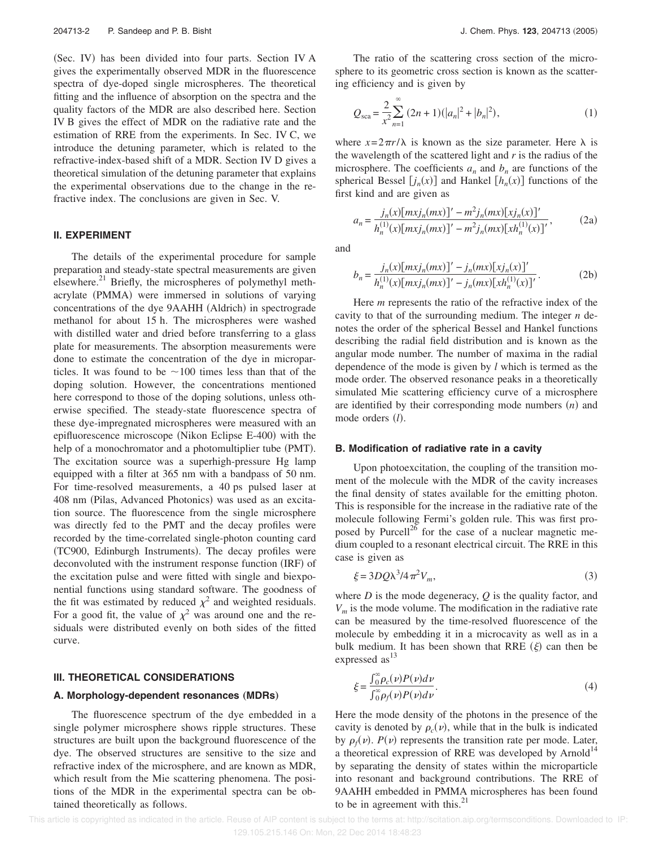(Sec. IV) has been divided into four parts. Section IV A gives the experimentally observed MDR in the fluorescence spectra of dye-doped single microspheres. The theoretical fitting and the influence of absorption on the spectra and the quality factors of the MDR are also described here. Section IV B gives the effect of MDR on the radiative rate and the estimation of RRE from the experiments. In Sec. IV C, we introduce the detuning parameter, which is related to the refractive-index-based shift of a MDR. Section IV D gives a theoretical simulation of the detuning parameter that explains the experimental observations due to the change in the refractive index. The conclusions are given in Sec. V.

#### **II. EXPERIMENT**

The details of the experimental procedure for sample preparation and steady-state spectral measurements are given elsewhere.<sup>21</sup> Briefly, the microspheres of polymethyl methacrylate (PMMA) were immersed in solutions of varying concentrations of the dye 9AAHH (Aldrich) in spectrograde methanol for about 15 h. The microspheres were washed with distilled water and dried before transferring to a glass plate for measurements. The absorption measurements were done to estimate the concentration of the dye in microparticles. It was found to be  $\sim$  100 times less than that of the doping solution. However, the concentrations mentioned here correspond to those of the doping solutions, unless otherwise specified. The steady-state fluorescence spectra of these dye-impregnated microspheres were measured with an epifluorescence microscope (Nikon Eclipse E-400) with the help of a monochromator and a photomultiplier tube (PMT). The excitation source was a superhigh-pressure Hg lamp equipped with a filter at 365 nm with a bandpass of 50 nm. For time-resolved measurements, a 40 ps pulsed laser at 408 nm (Pilas, Advanced Photonics) was used as an excitation source. The fluorescence from the single microsphere was directly fed to the PMT and the decay profiles were recorded by the time-correlated single-photon counting card (TC900, Edinburgh Instruments). The decay profiles were deconvoluted with the instrument response function (IRF) of the excitation pulse and were fitted with single and biexponential functions using standard software. The goodness of the fit was estimated by reduced  $\chi^2$  and weighted residuals. For a good fit, the value of  $\chi^2$  was around one and the residuals were distributed evenly on both sides of the fitted curve.

#### **III. THEORETICAL CONSIDERATIONS**

#### A. Morphology-dependent resonances (MDRs)

The fluorescence spectrum of the dye embedded in a single polymer microsphere shows ripple structures. These structures are built upon the background fluorescence of the dye. The observed structures are sensitive to the size and refractive index of the microsphere, and are known as MDR, which result from the Mie scattering phenomena. The positions of the MDR in the experimental spectra can be obtained theoretically as follows.

The ratio of the scattering cross section of the microsphere to its geometric cross section is known as the scattering efficiency and is given by

$$
Q_{\text{sca}} = \frac{2}{x^2} \sum_{n=1}^{\infty} (2n+1)(|a_n|^2 + |b_n|^2), \tag{1}
$$

where  $x=2\pi r/\lambda$  is known as the size parameter. Here  $\lambda$  is the wavelength of the scattered light and *r* is the radius of the microsphere. The coefficients  $a_n$  and  $b_n$  are functions of the spherical Bessel  $[j_n(x)]$  and Hankel  $[h_n(x)]$  functions of the first kind and are given as

$$
a_n = \frac{j_n(x)[m x j_n(m x)]' - m^2 j_n(m x)[x j_n(x)]'}{h_n^{(1)}(x)[m x j_n(m x)]' - m^2 j_n(m x)[x h_n^{(1)}(x)]'},
$$
 (2a)

and

$$
b_n = \frac{j_n(x)[m x j_n(m x)]' - j_n(m x)[x j_n(x)]'}{h_n^{(1)}(x)[m x j_n(m x)]' - j_n(m x)[x h_n^{(1)}(x)]'}.
$$
 (2b)

Here *m* represents the ratio of the refractive index of the cavity to that of the surrounding medium. The integer *n* denotes the order of the spherical Bessel and Hankel functions describing the radial field distribution and is known as the angular mode number. The number of maxima in the radial dependence of the mode is given by *l* which is termed as the mode order. The observed resonance peaks in a theoretically simulated Mie scattering efficiency curve of a microsphere are identified by their corresponding mode numbers  $(n)$  and mode orders (*l*).

#### **B. Modification of radiative rate in a cavity**

Upon photoexcitation, the coupling of the transition moment of the molecule with the MDR of the cavity increases the final density of states available for the emitting photon. This is responsible for the increase in the radiative rate of the molecule following Fermi's golden rule. This was first proposed by Purcell<sup>26</sup> for the case of a nuclear magnetic medium coupled to a resonant electrical circuit. The RRE in this case is given as

$$
\xi = 3DQ\lambda^3/4\pi^2 V_m,\tag{3}
$$

where *D* is the mode degeneracy, *Q* is the quality factor, and *V<sup>m</sup>* is the mode volume. The modification in the radiative rate can be measured by the time-resolved fluorescence of the molecule by embedding it in a microcavity as well as in a bulk medium. It has been shown that RRE  $(\xi)$  can then be expressed as<sup>13</sup>

$$
\xi = \frac{\int_0^\infty \rho_c(\nu) P(\nu) d\nu}{\int_0^\infty \rho_f(\nu) P(\nu) d\nu}.
$$
\n(4)

Here the mode density of the photons in the presence of the cavity is denoted by  $\rho_c(\nu)$ , while that in the bulk is indicated by  $\rho_f(\nu)$ .  $P(\nu)$  represents the transition rate per mode. Later, a theoretical expression of RRE was developed by Arnold<sup>14</sup> by separating the density of states within the microparticle into resonant and background contributions. The RRE of 9AAHH embedded in PMMA microspheres has been found to be in agreement with this. $^{21}$ 

 This article is copyrighted as indicated in the article. Reuse of AIP content is subject to the terms at: http://scitation.aip.org/termsconditions. Downloaded to IP: 129.105.215.146 On: Mon, 22 Dec 2014 18:48:23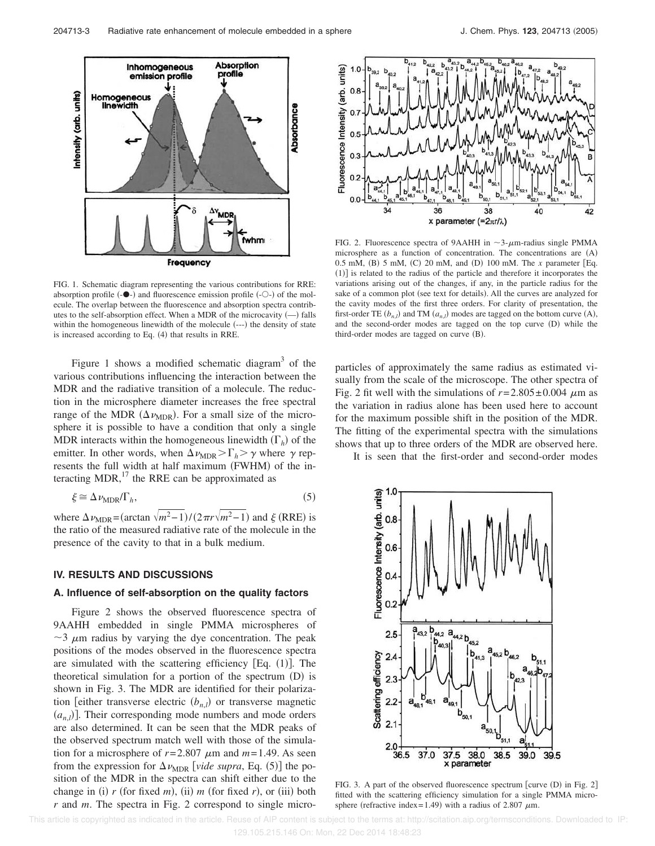

FIG. 1. Schematic diagram representing the various contributions for RRE: absorption profile  $(-\bullet)$  and fluorescence emission profile  $(-\circ)$  of the molecule. The overlap between the fluorescence and absorption spectra contributes to the self-absorption effect. When a MDR of the microcavity  $(-)$  falls within the homogeneous linewidth of the molecule (---) the density of state is increased according to Eq. (4) that results in RRE.

Figure 1 shows a modified schematic diagram $3$  of the various contributions influencing the interaction between the MDR and the radiative transition of a molecule. The reduction in the microsphere diameter increases the free spectral range of the MDR  $(\Delta \nu_{MDR})$ . For a small size of the microsphere it is possible to have a condition that only a single MDR interacts within the homogeneous linewidth  $(\Gamma_h)$  of the emitter. In other words, when  $\Delta \nu_{\text{MDR}} > \Gamma_h > \gamma$  where  $\gamma$  represents the full width at half maximum (FWHM) of the interacting MDR, $^{17}$  the RRE can be approximated as

$$
\xi \cong \Delta \nu_{\text{MDR}} / \Gamma_h,\tag{5}
$$

where  $\Delta \nu_{\text{MDR}} = (\arctan \sqrt{m^2 - 1}) / (2 \pi r \sqrt{m^2 - 1})$  and  $\xi$  (RRE) is the ratio of the measured radiative rate of the molecule in the presence of the cavity to that in a bulk medium.

### **IV. RESULTS AND DISCUSSIONS**

# **A. Influence of self-absorption on the quality factors**

Figure 2 shows the observed fluorescence spectra of 9AAHH embedded in single PMMA microspheres of  $\sim$ 3  $\mu$ m radius by varying the dye concentration. The peak positions of the modes observed in the fluorescence spectra are simulated with the scattering efficiency  $[Eq. (1)]$ . The theoretical simulation for a portion of the spectrum (D) is shown in Fig. 3. The MDR are identified for their polarization [either transverse electric  $(b_{n,l})$  or transverse magnetic  $(a_{n,l})$ . Their corresponding mode numbers and mode orders are also determined. It can be seen that the MDR peaks of the observed spectrum match well with those of the simulation for a microsphere of  $r=2.807 \mu m$  and  $m=1.49$ . As seen from the expression for  $\Delta v_{\text{MDR}}$  [*vide supra*, Eq. (5)] the position of the MDR in the spectra can shift either due to the change in (i)  $r$  (for fixed  $m$ ), (ii)  $m$  (for fixed  $r$ ), or (iii) both *r* and *m*. The spectra in Fig. 2 correspond to single micro-



FIG. 2. Fluorescence spectra of 9AAHH in  $\sim$ 3- $\mu$ m-radius single PMMA microsphere as a function of concentration. The concentrations are  $(A)$ 0.5 mM, (B) 5 mM, (C) 20 mM, and (D) 100 mM. The *x* parameter [Eq. (1)] is related to the radius of the particle and therefore it incorporates the variations arising out of the changes, if any, in the particle radius for the sake of a common plot (see text for details). All the curves are analyzed for the cavity modes of the first three orders. For clarity of presentation, the first-order TE  $(b_{n,l})$  and TM  $(a_{n,l})$  modes are tagged on the bottom curve  $(A)$ , and the second-order modes are tagged on the top curve (D) while the third-order modes are tagged on curve (B).

particles of approximately the same radius as estimated visually from the scale of the microscope. The other spectra of Fig. 2 fit well with the simulations of  $r = 2.805 \pm 0.004 \mu$ m as the variation in radius alone has been used here to account for the maximum possible shift in the position of the MDR. The fitting of the experimental spectra with the simulations shows that up to three orders of the MDR are observed here.

It is seen that the first-order and second-order modes



FIG. 3. A part of the observed fluorescence spectrum [curve  $(D)$  in Fig. 2] fitted with the scattering efficiency simulation for a single PMMA microsphere (refractive index=1.49) with a radius of 2.807  $\mu$ m.

This article is copyrighted as indicated in the article. Reuse of AIP content is subject to the terms at: http://scitation.aip.org/termsconditions. Downloaded to IP: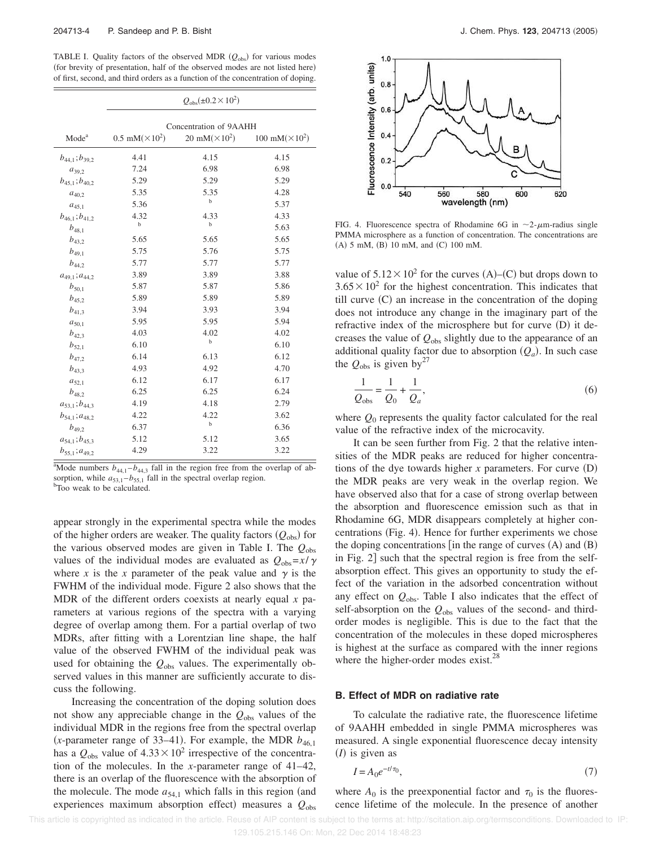TABLE I. Quality factors of the observed MDR ( $Q_{\text{obs}}$ ) for various modes (for brevity of presentation, half of the observed modes are not listed here) of first, second, and third orders as a function of the concentration of doping.

|                         | $Q_{\text{obs}}(\pm 0.2 \times 10^2)$ |                                   |                                    |  |  |  |
|-------------------------|---------------------------------------|-----------------------------------|------------------------------------|--|--|--|
|                         | Concentration of 9AAHH                |                                   |                                    |  |  |  |
| Mode <sup>a</sup>       | $0.5$ mM( $\times$ 10 <sup>2</sup> )  | 20 mM( $\times$ 10 <sup>2</sup> ) | 100 mM( $\times$ 10 <sup>2</sup> ) |  |  |  |
| $b_{44,1}$ ; $b_{39,2}$ | 4.41                                  | 4.15                              | 4.15                               |  |  |  |
| $a_{39.2}$              | 7.24                                  | 6.98                              | 6.98                               |  |  |  |
| $b_{45,1}$ ; $b_{40,2}$ | 5.29                                  | 5.29                              | 5.29                               |  |  |  |
| $a_{40,2}$              | 5.35                                  | 5.35                              | 4.28                               |  |  |  |
| $a_{45,1}$              | 5.36                                  | b                                 | 5.37                               |  |  |  |
| $b_{46,1}$ ; $b_{41,2}$ | 4.32                                  | 4.33                              | 4.33                               |  |  |  |
| $b_{48,1}$              | $\mathbf b$                           | b                                 | 5.63                               |  |  |  |
| $b_{43.2}$              | 5.65                                  | 5.65                              | 5.65                               |  |  |  |
| $b_{49.1}$              | 5.75                                  | 5.76                              | 5.75                               |  |  |  |
| $b_{44.2}$              | 5.77                                  | 5.77                              | 5.77                               |  |  |  |
| $a_{49,1}$ ; $a_{44,2}$ | 3.89                                  | 3.89                              | 3.88                               |  |  |  |
| $b_{50,1}$              | 5.87                                  | 5.87                              | 5.86                               |  |  |  |
| $b_{45,2}$              | 5.89                                  | 5.89                              | 5.89                               |  |  |  |
| $b_{41,3}$              | 3.94                                  | 3.93                              | 3.94                               |  |  |  |
| $a_{50,1}$              | 5.95                                  | 5.95                              | 5.94                               |  |  |  |
| $b_{42,3}$              | 4.03                                  | 4.02                              | 4.02                               |  |  |  |
| $b_{52,1}$              | 6.10                                  | b                                 | 6.10                               |  |  |  |
| $b_{47.2}$              | 6.14                                  | 6.13                              | 6.12                               |  |  |  |
| $b_{43,3}$              | 4.93                                  | 4.92                              | 4.70                               |  |  |  |
| $a_{52,1}$              | 6.12                                  | 6.17                              | 6.17                               |  |  |  |
| $b_{48.2}$              | 6.25                                  | 6.25                              | 6.24                               |  |  |  |
| $a_{53,1}$ ; $b_{44,3}$ | 4.19                                  | 4.18                              | 2.79                               |  |  |  |
| $b_{54,1}; a_{48,2}$    | 4.22                                  | 4.22                              | 3.62                               |  |  |  |
| $b_{49,2}$              | 6.37                                  | b                                 | 6.36                               |  |  |  |
| $a_{54,1}$ ; $b_{45,3}$ | 5.12                                  | 5.12                              | 3.65                               |  |  |  |
| $b_{55,1}; a_{49,2}$    | 4.29                                  | 3.22                              | 3.22                               |  |  |  |

<sup>a</sup>Mode numbers  $b_{44,1}$  – $b_{44,3}$  fall in the region free from the overlap of absorption, while  $a_{53,1} - b_{55,1}$  fall in the spectral overlap region. <sup>b</sup>Too weak to be calculated.

appear strongly in the experimental spectra while the modes of the higher orders are weaker. The quality factors  $(Q_{obs})$  for the various observed modes are given in Table I. The *Q*obs values of the individual modes are evaluated as  $Q_{obs} = x/\gamma$ where *x* is the *x* parameter of the peak value and  $\gamma$  is the FWHM of the individual mode. Figure 2 also shows that the MDR of the different orders coexists at nearly equal *x* parameters at various regions of the spectra with a varying degree of overlap among them. For a partial overlap of two MDRs, after fitting with a Lorentzian line shape, the half value of the observed FWHM of the individual peak was used for obtaining the  $Q_{obs}$  values. The experimentally observed values in this manner are sufficiently accurate to discuss the following.

Increasing the concentration of the doping solution does not show any appreciable change in the  $Q_{obs}$  values of the individual MDR in the regions free from the spectral overlap (*x*-parameter range of 33–41). For example, the MDR  $b_{46,1}$ has a  $Q_{obs}$  value of  $4.33 \times 10^2$  irrespective of the concentration of the molecules. In the *x*-parameter range of 41–42, there is an overlap of the fluorescence with the absorption of the molecule. The mode  $a_{54,1}$  which falls in this region (and experiences maximum absorption effect) measures a  $Q_{\text{obs}}$ 



FIG. 4. Fluorescence spectra of Rhodamine 6G in  $\sim$ 2- $\mu$ m-radius single PMMA microsphere as a function of concentration. The concentrations are (A) 5 mM, (B) 10 mM, and (C) 100 mM.

value of  $5.12 \times 10^2$  for the curves (A)–(C) but drops down to  $3.65 \times 10^2$  for the highest concentration. This indicates that till curve (C) an increase in the concentration of the doping does not introduce any change in the imaginary part of the refractive index of the microsphere but for curve (D) it decreases the value of *Q*obs slightly due to the appearance of an additional quality factor due to absorption  $(Q_a)$ . In such case the  $Q_{\text{obs}}$  is given by<sup>27</sup>

$$
\frac{1}{Q_{\text{obs}}} = \frac{1}{Q_0} + \frac{1}{Q_a},\tag{6}
$$

where  $Q_0$  represents the quality factor calculated for the real value of the refractive index of the microcavity.

It can be seen further from Fig. 2 that the relative intensities of the MDR peaks are reduced for higher concentrations of the dye towards higher  $x$  parameters. For curve  $(D)$ the MDR peaks are very weak in the overlap region. We have observed also that for a case of strong overlap between the absorption and fluorescence emission such as that in Rhodamine 6G, MDR disappears completely at higher concentrations (Fig. 4). Hence for further experiments we chose the doping concentrations  $[$ in the range of curves  $(A)$  and  $(B)$ in Fig.  $2$ ] such that the spectral region is free from the selfabsorption effect. This gives an opportunity to study the effect of the variation in the adsorbed concentration without any effect on  $Q_{obs}$ . Table I also indicates that the effect of self-absorption on the *Q*obs values of the second- and thirdorder modes is negligible. This is due to the fact that the concentration of the molecules in these doped microspheres is highest at the surface as compared with the inner regions where the higher-order modes exist.<sup>28</sup>

#### **B. Effect of MDR on radiative rate**

To calculate the radiative rate, the fluorescence lifetime of 9AAHH embedded in single PMMA microspheres was measured. A single exponential fluorescence decay intensity  $(I)$  is given as

$$
I = A_0 e^{-t/\tau_0},\tag{7}
$$

where  $A_0$  is the preexponential factor and  $\tau_0$  is the fluorescence lifetime of the molecule. In the presence of another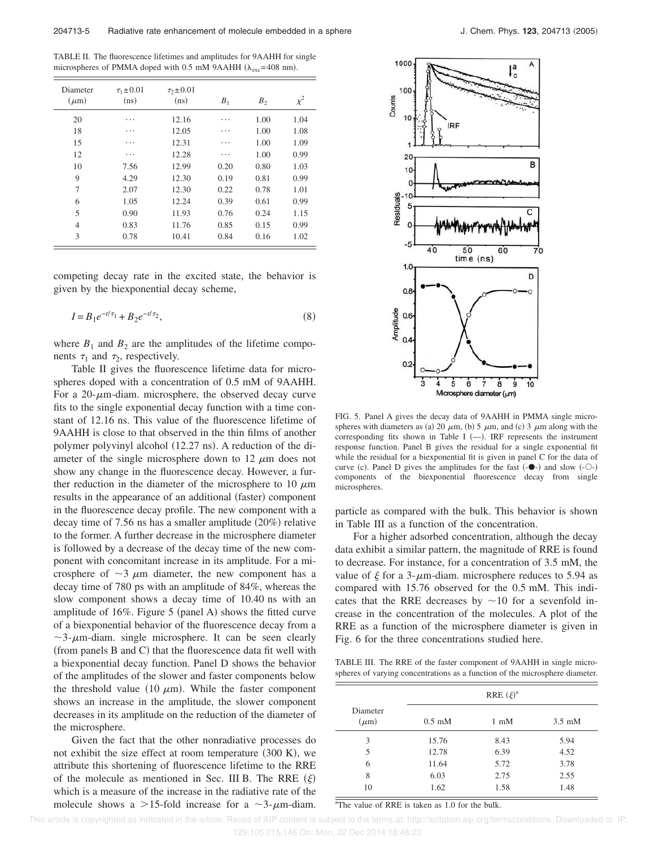TABLE II. The fluorescence lifetimes and amplitudes for 9AAHH for single microspheres of PMMA doped with 0.5 mM 9AAHH  $(\lambda_{\text{exc}}=408 \text{ nm})$ .

| Diameter<br>$(\mu m)$ | $\tau_1 \pm 0.01$<br>(ns) | $\tau_2 \pm 0.01$<br>(ns) | B <sub>1</sub> | B <sub>2</sub> | $\chi^2$ |
|-----------------------|---------------------------|---------------------------|----------------|----------------|----------|
| 20                    | .                         | 12.16                     | .              | 1.00           | 1.04     |
| 18                    | .                         | 12.05                     | .              | 1.00           | 1.08     |
| 15                    | .                         | 12.31                     | .              | 1.00           | 1.09     |
| 12                    | .                         | 12.28                     | .              | 1.00           | 0.99     |
| 10                    | 7.56                      | 12.99                     | 0.20           | 0.80           | 1.03     |
| 9                     | 4.29                      | 12.30                     | 0.19           | 0.81           | 0.99     |
| 7                     | 2.07                      | 12.30                     | 0.22           | 0.78           | 1.01     |
| 6                     | 1.05                      | 12.24                     | 0.39           | 0.61           | 0.99     |
| 5                     | 0.90                      | 11.93                     | 0.76           | 0.24           | 1.15     |
| $\overline{4}$        | 0.83                      | 11.76                     | 0.85           | 0.15           | 0.99     |
| 3                     | 0.78                      | 10.41                     | 0.84           | 0.16           | 1.02     |

competing decay rate in the excited state, the behavior is given by the biexponential decay scheme,

$$
I = B_1 e^{-t/\tau_1} + B_2 e^{-t/\tau_2},\tag{8}
$$

where  $B_1$  and  $B_2$  are the amplitudes of the lifetime components  $\tau_1$  and  $\tau_2$ , respectively.

Table II gives the fluorescence lifetime data for microspheres doped with a concentration of 0.5 mM of 9AAHH. For a  $20$ - $\mu$ m-diam. microsphere, the observed decay curve fits to the single exponential decay function with a time constant of 12.16 ns. This value of the fluorescence lifetime of 9AAHH is close to that observed in the thin films of another polymer polyvinyl alcohol (12.27 ns). A reduction of the diameter of the single microsphere down to 12  $\mu$ m does not show any change in the fluorescence decay. However, a further reduction in the diameter of the microsphere to 10  $\mu$ m results in the appearance of an additional (faster) component in the fluorescence decay profile. The new component with a decay time of  $7.56$  ns has a smaller amplitude  $(20\%)$  relative to the former. A further decrease in the microsphere diameter is followed by a decrease of the decay time of the new component with concomitant increase in its amplitude. For a microsphere of  $\sim$ 3  $\mu$ m diameter, the new component has a decay time of 780 ps with an amplitude of 84%, whereas the slow component shows a decay time of 10.40 ns with an amplitude of  $16\%$ . Figure 5 (panel A) shows the fitted curve of a biexponential behavior of the fluorescence decay from a  $\sim$ 3- $\mu$ m-diam. single microsphere. It can be seen clearly  $(from panels B and C) that the fluorescence data fit well with$ a biexponential decay function. Panel D shows the behavior of the amplitudes of the slower and faster components below the threshold value (10  $\mu$ m). While the faster component shows an increase in the amplitude, the slower component decreases in its amplitude on the reduction of the diameter of the microsphere.

Given the fact that the other nonradiative processes do not exhibit the size effect at room temperature  $(300 \text{ K})$ , we attribute this shortening of fluorescence lifetime to the RRE of the molecule as mentioned in Sec. III B. The RRE  $(\xi)$ which is a measure of the increase in the radiative rate of the molecule shows a >15-fold increase for a  $\sim$ 3- $\mu$ m-diam.



FIG. 5. Panel A gives the decay data of 9AAHH in PMMA single microspheres with diameters as (a) 20  $\mu$ m, (b) 5  $\mu$ m, and (c) 3  $\mu$ m along with the corresponding fits shown in Table I  $(-)$ . IRF represents the instrument response function. Panel B gives the residual for a single exponential fit while the residual for a biexponential fit is given in panel C for the data of curve (c). Panel D gives the amplitudes for the fast  $(-\bullet)$  and slow  $(-\circ)$ components of the biexponential fluorescence decay from single microspheres.

particle as compared with the bulk. This behavior is shown in Table III as a function of the concentration.

For a higher adsorbed concentration, although the decay data exhibit a similar pattern, the magnitude of RRE is found to decrease. For instance, for a concentration of 3.5 mM, the value of  $\xi$  for a 3- $\mu$ m-diam. microsphere reduces to 5.94 as compared with 15.76 observed for the 0.5 mM. This indicates that the RRE decreases by  $\sim$ 10 for a sevenfold increase in the concentration of the molecules. A plot of the RRE as a function of the microsphere diameter is given in Fig. 6 for the three concentrations studied here.

TABLE III. The RRE of the faster component of 9AAHH in single microspheres of varying concentrations as a function of the microsphere diameter.

|                       | RRE $(\xi)^a$             |                |                  |
|-----------------------|---------------------------|----------------|------------------|
| Diameter<br>$(\mu m)$ | $0.5 \text{ }\mathrm{mM}$ | $1 \text{ mM}$ | $3.5 \text{ mM}$ |
| 3                     | 15.76                     | 8.43           | 5.94             |
| 5                     | 12.78                     | 6.39           | 4.52             |
| 6                     | 11.64                     | 5.72           | 3.78             |
| 8                     | 6.03                      | 2.75           | 2.55             |
| 10                    | 1.62                      | 1.58           | 1.48             |

<sup>a</sup>The value of RRE is taken as 1.0 for the bulk.

This article is copyrighted as indicated in the article. Reuse of AIP content is subject to the terms at: http://scitation.aip.org/termsconditions. Downloaded to IP: 129.105.215.146 On: Mon, 22 Dec 2014 18:48:23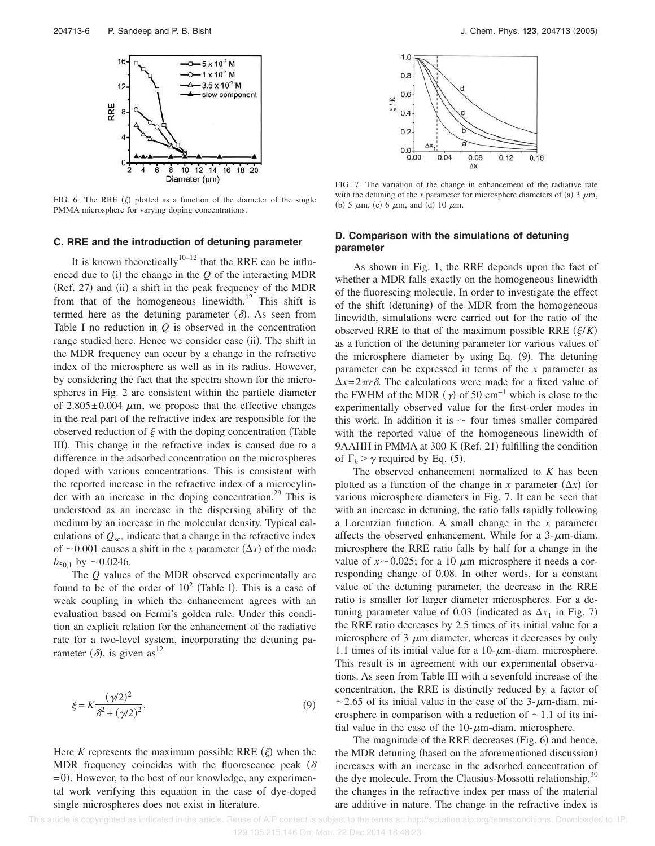

FIG. 6. The RRE  $(\xi)$  plotted as a function of the diameter of the single PMMA microsphere for varying doping concentrations.

#### **C. RRE and the introduction of detuning parameter**

It is known theoretically<sup>10–12</sup> that the RRE can be influenced due to  $(i)$  the change in the  $Q$  of the interacting MDR (Ref. 27) and (ii) a shift in the peak frequency of the MDR from that of the homogeneous linewidth.<sup>12</sup> This shift is termed here as the detuning parameter  $(\delta)$ . As seen from Table I no reduction in  $Q$  is observed in the concentration range studied here. Hence we consider case (ii). The shift in the MDR frequency can occur by a change in the refractive index of the microsphere as well as in its radius. However, by considering the fact that the spectra shown for the microspheres in Fig. 2 are consistent within the particle diameter of  $2.805 \pm 0.004$   $\mu$ m, we propose that the effective changes in the real part of the refractive index are responsible for the observed reduction of  $\xi$  with the doping concentration (Table III). This change in the refractive index is caused due to a difference in the adsorbed concentration on the microspheres doped with various concentrations. This is consistent with the reported increase in the refractive index of a microcylinder with an increase in the doping concentration.<sup>29</sup> This is understood as an increase in the dispersing ability of the medium by an increase in the molecular density. Typical calculations of  $Q_{sca}$  indicate that a change in the refractive index of  $\sim$  0.001 causes a shift in the *x* parameter  $(\Delta x)$  of the mode  $b_{50,1}$  by  $\sim$  0.0246.

The *Q* values of the MDR observed experimentally are found to be of the order of  $10^2$  (Table I). This is a case of weak coupling in which the enhancement agrees with an evaluation based on Fermi's golden rule. Under this condition an explicit relation for the enhancement of the radiative rate for a two-level system, incorporating the detuning parameter  $(\delta)$ , is given as<sup>12</sup>

$$
\xi = K \frac{(\gamma/2)^2}{\delta^2 + (\gamma/2)^2}.
$$
\n(9)

Here  $K$  represents the maximum possible RRE  $(\xi)$  when the MDR frequency coincides with the fluorescence peak ( $\delta$ )  $= 0$ ). However, to the best of our knowledge, any experimental work verifying this equation in the case of dye-doped single microspheres does not exist in literature.



FIG. 7. The variation of the change in enhancement of the radiative rate with the detuning of the *x* parameter for microsphere diameters of (a) 3  $\mu$ m, (b) 5  $\mu$ m, (c) 6  $\mu$ m, and (d) 10  $\mu$ m.

### **D. Comparison with the simulations of detuning parameter**

As shown in Fig. 1, the RRE depends upon the fact of whether a MDR falls exactly on the homogeneous linewidth of the fluorescing molecule. In order to investigate the effect of the shift (detuning) of the MDR from the homogeneous linewidth, simulations were carried out for the ratio of the observed RRE to that of the maximum possible RRE  $(\xi/K)$ as a function of the detuning parameter for various values of the microsphere diameter by using Eq. (9). The detuning parameter can be expressed in terms of the *x* parameter as  $\Delta x = 2\pi r \delta$ . The calculations were made for a fixed value of the FWHM of the MDR  $(\gamma)$  of 50 cm<sup>-1</sup> which is close to the experimentally observed value for the first-order modes in this work. In addition it is  $\sim$  four times smaller compared with the reported value of the homogeneous linewidth of 9AAHH in PMMA at 300 K (Ref. 21) fulfilling the condition of  $\Gamma_h > \gamma$  required by Eq. (5).

The observed enhancement normalized to *K* has been plotted as a function of the change in *x* parameter  $(\Delta x)$  for various microsphere diameters in Fig. 7. It can be seen that with an increase in detuning, the ratio falls rapidly following a Lorentzian function. A small change in the *x* parameter affects the observed enhancement. While for a  $3-\mu$ m-diam. microsphere the RRE ratio falls by half for a change in the value of  $x \sim 0.025$ ; for a 10  $\mu$ m microsphere it needs a corresponding change of 0.08. In other words, for a constant value of the detuning parameter, the decrease in the RRE ratio is smaller for larger diameter microspheres. For a detuning parameter value of 0.03 (indicated as  $\Delta x_1$  in Fig. 7) the RRE ratio decreases by 2.5 times of its initial value for a microsphere of 3  $\mu$ m diameter, whereas it decreases by only 1.1 times of its initial value for a  $10$ - $\mu$ m-diam. microsphere. This result is in agreement with our experimental observations. As seen from Table III with a sevenfold increase of the concentration, the RRE is distinctly reduced by a factor of  $\sim$  2.65 of its initial value in the case of the 3- $\mu$ m-diam. microsphere in comparison with a reduction of  $\sim$  1.1 of its initial value in the case of the  $10$ - $\mu$ m-diam. microsphere.

The magnitude of the RRE decreases (Fig. 6) and hence, the MDR detuning (based on the aforementioned discussion) increases with an increase in the adsorbed concentration of the dye molecule. From the Clausius-Mossotti relationship, $30$ the changes in the refractive index per mass of the material are additive in nature. The change in the refractive index is